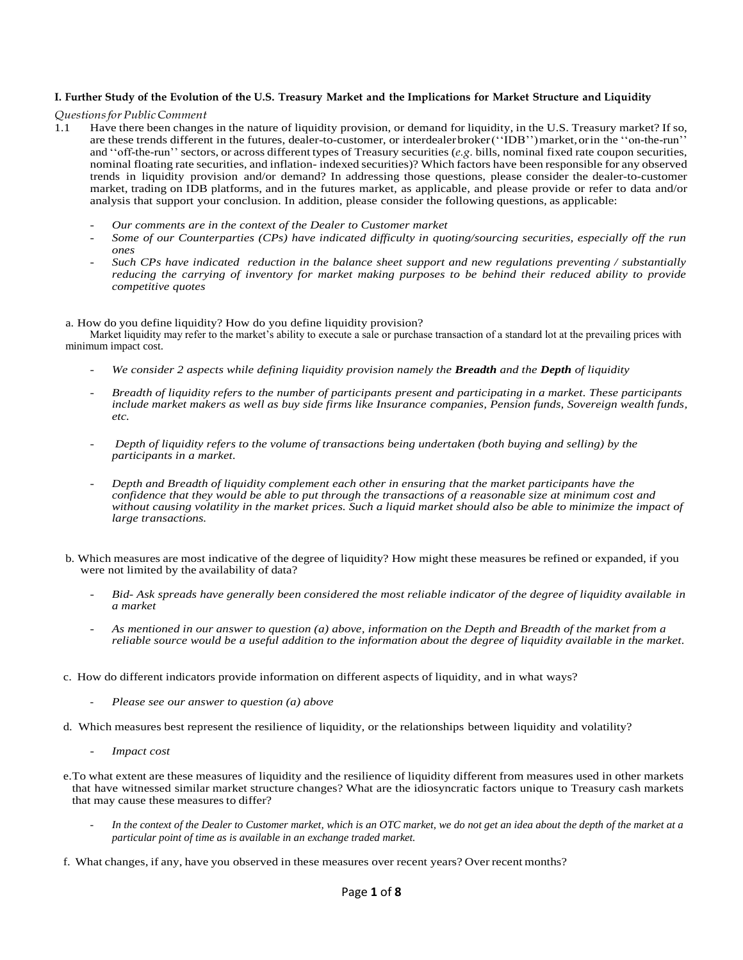## I. Further Study of the Evolution of the U.S. Treasury Market and the Implications for Market Structure and Liquidity

*QuestionsforPublicComment*

- 1.1 Have there been changes in the nature of liquidity provision, or demand for liquidity, in the U.S. Treasury market? If so, are these trends different in the futures, dealer-to-customer, or interdealerbroker(''IDB'')market,orin the ''on-the-run'' and ''off-the-run'' sectors, or across different types of Treasury securities (*e.g.* bills, nominal fixed rate coupon securities, nominal floating rate securities, and inflation- indexed securities)? Which factors have been responsible for any observed trends in liquidity provision and/or demand? In addressing those questions, please consider the dealer-to-customer market, trading on IDB platforms, and in the futures market, as applicable, and please provide or refer to data and/or analysis that support your conclusion. In addition, please consider the following questions, as applicable:
	- *Our comments are in the context of the Dealer to Customer market*
	- *Some of our Counterparties (CPs) have indicated difficulty in quoting/sourcing securities, especially off the run ones*
	- *Such CPs have indicated reduction in the balance sheet support and new regulations preventing / substantially reducing the carrying of inventory for market making purposes to be behind their reduced ability to provide competitive quotes*

#### a. How do you define liquidity? How do you define liquidity provision?

Market liquidity may refer to the market's ability to execute a sale or purchase transaction of a standard lot at the prevailing prices with minimum impact cost.

- *We consider 2 aspects while defining liquidity provision namely the Breadth and the Depth of liquidity*
- *Breadth of liquidity refers to the number of participants present and participating in a market. These participants include market makers as well as buy side firms like Insurance companies, Pension funds, Sovereign wealth funds, etc.*
- *Depth of liquidity refers to the volume of transactions being undertaken (both buying and selling) by the participants in a market.*
- *Depth and Breadth of liquidity complement each other in ensuring that the market participants have the confidence that they would be able to put through the transactions of a reasonable size at minimum cost and without causing volatility in the market prices. Such a liquid market should also be able to minimize the impact of large transactions.*
- b. Which measures are most indicative of the degree of liquidity? How might these measures be refined or expanded, if you were not limited by the availability of data?
	- *Bid- Ask spreads have generally been considered the most reliable indicator of the degree of liquidity available in a market*
	- *As mentioned in our answer to question (a) above, information on the Depth and Breadth of the market from a reliable source would be a useful addition to the information about the degree of liquidity available in the market.*
- c. How do different indicators provide information on different aspects of liquidity, and in what ways?
	- *Please see our answer to question (a) above*
- d. Which measures best represent the resilience of liquidity, or the relationships between liquidity and volatility?
	- *Impact cost*
- e.To what extent are these measures of liquidity and the resilience of liquidity different from measures used in other markets that have witnessed similar market structure changes? What are the idiosyncratic factors unique to Treasury cash markets that may cause these measures to differ?
	- In the context of the Dealer to Customer market, which is an OTC market, we do not get an idea about the depth of the market at a *particular point of time as is available in an exchange traded market.*
- f. What changes, if any, have you observed in these measures over recent years? Over recent months?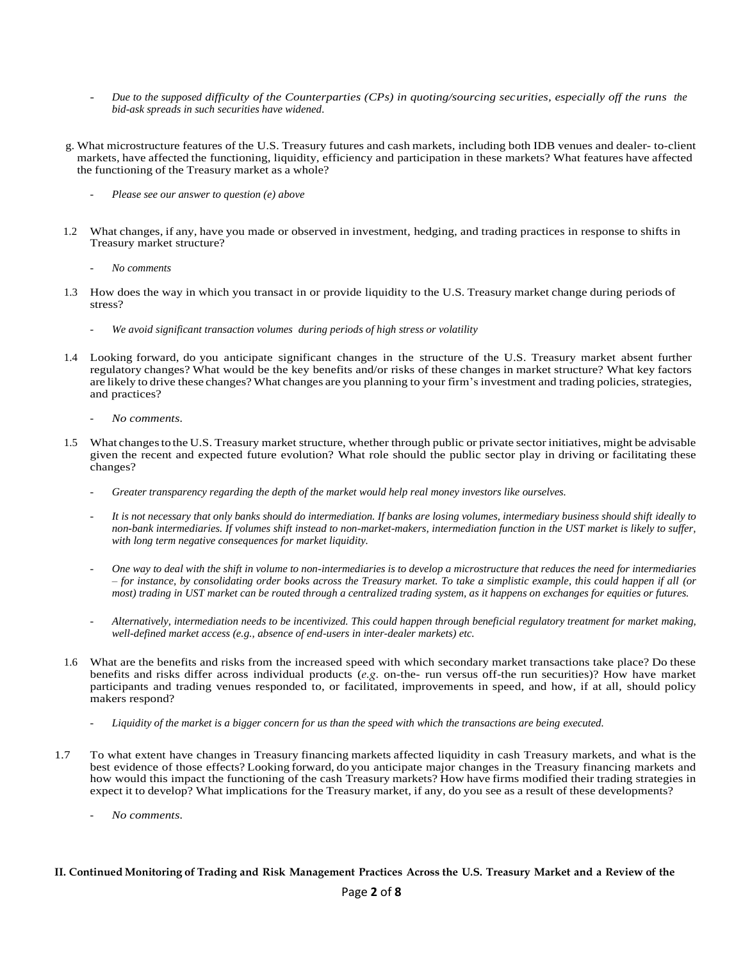- *Due to the supposed difficulty of the Counterparties (CPs) in quoting/sourcing securities, especially off the runs the bid-ask spreads in such securities have widened.*
- g. What microstructure features of the U.S. Treasury futures and cash markets, including both IDB venues and dealer- to-client markets, have affected the functioning, liquidity, efficiency and participation in these markets? What features have affected the functioning of the Treasury market as a whole?
	- *Please see our answer to question (e) above*
- 1.2 What changes, if any, have you made or observed in investment, hedging, and trading practices in response to shifts in Treasury market structure?
	- *No comments*
- 1.3 How does the way in which you transact in or provide liquidity to the U.S. Treasury market change during periods of stress?
	- *We avoid significant transaction volumes during periods of high stress or volatility*
- 1.4 Looking forward, do you anticipate significant changes in the structure of the U.S. Treasury market absent further regulatory changes? What would be the key benefits and/or risks of these changes in market structure? What key factors are likely to drive these changes? What changes are you planning to your firm's investment and trading policies, strategies, and practices?
	- *No comments.*
- 1.5 What changesto the U.S. Treasury market structure, whether through public or private sector initiatives, might be advisable given the recent and expected future evolution? What role should the public sector play in driving or facilitating these changes?
	- *Greater transparency regarding the depth of the market would help real money investors like ourselves.*
	- *It is not necessary that only banks should do intermediation. If banks are losing volumes, intermediary business should shift ideally to non-bank intermediaries. If volumes shift instead to non-market-makers, intermediation function in the UST market is likely to suffer, with long term negative consequences for market liquidity.*
	- *One way to deal with the shift in volume to non-intermediaries is to develop a microstructure that reduces the need for intermediaries – for instance, by consolidating order books across the Treasury market. To take a simplistic example, this could happen if all (or most) trading in UST market can be routed through a centralized trading system, as it happens on exchanges for equities or futures.*
	- *Alternatively, intermediation needs to be incentivized. This could happen through beneficial regulatory treatment for market making, well-defined market access (e.g., absence of end-users in inter-dealer markets) etc.*
- 1.6 What are the benefits and risks from the increased speed with which secondary market transactions take place? Do these benefits and risks differ across individual products (*e.g.* on-the- run versus off-the run securities)? How have market participants and trading venues responded to, or facilitated, improvements in speed, and how, if at all, should policy makers respond?
	- Liquidity of the market is a bigger concern for us than the speed with which the transactions are being executed.
- 1.7 To what extent have changes in Treasury financing markets affected liquidity in cash Treasury markets, and what is the best evidence of those effects? Looking forward, do you anticipate major changes in the Treasury financing markets and how would this impact the functioning of the cash Treasury markets? How have firms modified their trading strategies in expect it to develop? What implications for the Treasury market, if any, do you see as a result of these developments?
	- *No comments.*

### II. Continued Monitoring of Trading and Risk Management Practices Across the U.S. Treasury Market and a Review of the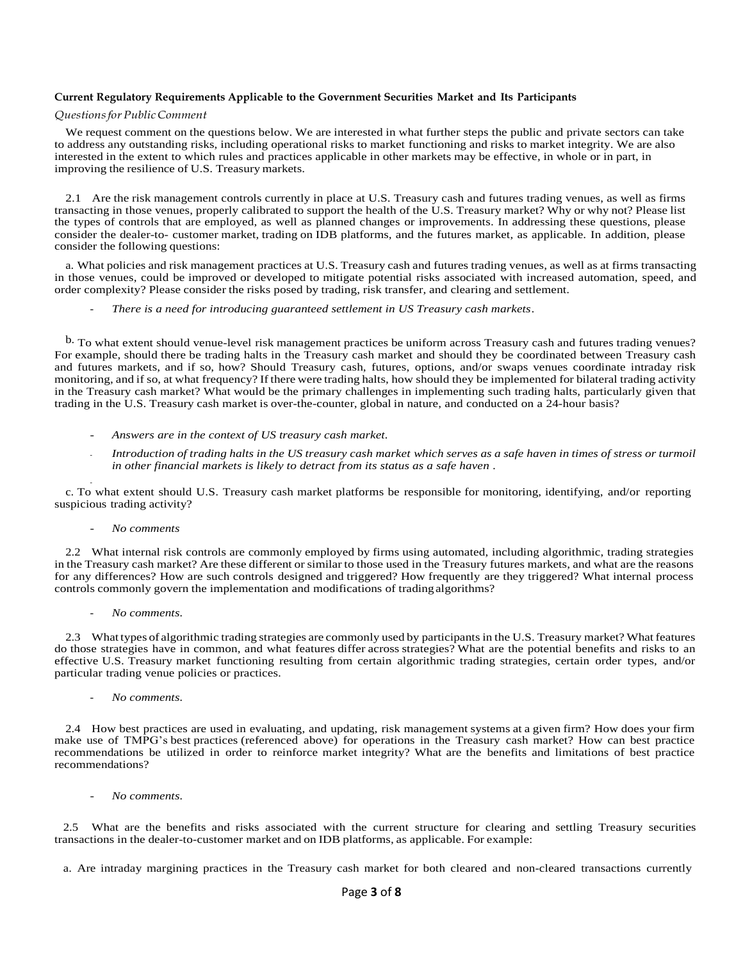### **Current Regulatory Requirements Applicable to the Government Securities Market and Its Participants**

# *QuestionsforPublicComment*

We request comment on the questions below. We are interested in what further steps the public and private sectors can take to address any outstanding risks, including operational risks to market functioning and risks to market integrity. We are also interested in the extent to which rules and practices applicable in other markets may be effective, in whole or in part, in improving the resilience of U.S. Treasury markets.

2.1 Are the risk management controls currently in place at U.S. Treasury cash and futures trading venues, as well as firms transacting in those venues, properly calibrated to support the health of the U.S. Treasury market? Why or why not? Please list the types of controls that are employed, as well as planned changes or improvements. In addressing these questions, please consider the dealer-to- customer market, trading on IDB platforms, and the futures market, as applicable. In addition, please consider the following questions:

a. What policies and risk management practices at U.S. Treasury cash and futures trading venues, as well as at firms transacting in those venues, could be improved or developed to mitigate potential risks associated with increased automation, speed, and order complexity? Please consider the risks posed by trading, risk transfer, and clearing and settlement.

- *There is a need for introducing guaranteed settlement in US Treasury cash markets.*

b. To what extent should venue-level risk management practices be uniform across Treasury cash and futures trading venues? For example, should there be trading halts in the Treasury cash market and should they be coordinated between Treasury cash and futures markets, and if so, how? Should Treasury cash, futures, options, and/or swaps venues coordinate intraday risk monitoring, and if so, at what frequency? If there were trading halts, how should they be implemented for bilateral trading activity in the Treasury cash market? What would be the primary challenges in implementing such trading halts, particularly given that trading in the U.S. Treasury cash market is over-the-counter, global in nature, and conducted on a 24-hour basis?

- *Answers are in the context of US treasury cash market.*
- *Introduction of trading halts in the US treasury cash market which serves as a safe haven in times of stress or turmoil in other financial markets is likely to detract from its status as a safe haven .*

 c. To what extent should U.S. Treasury cash market platforms be responsible for monitoring, identifying, and/or reporting suspicious trading activity?

#### - *No comments*

2.2 What internal risk controls are commonly employed by firms using automated, including algorithmic, trading strategies in the Treasury cash market? Are these different or similar to those used in the Treasury futures markets, and what are the reasons for any differences? How are such controls designed and triggered? How frequently are they triggered? What internal process controls commonly govern the implementation and modifications of tradingalgorithms?

- *No comments.*

2.3 What types of algorithmic trading strategies are commonly used by participants in the U.S. Treasury market? What features do those strategies have in common, and what features differ across strategies? What are the potential benefits and risks to an effective U.S. Treasury market functioning resulting from certain algorithmic trading strategies, certain order types, and/or particular trading venue policies or practices.

- *No comments.*

2.4 How best practices are used in evaluating, and updating, risk management systems at a given firm? How does your firm make use of TMPG's best practices (referenced above) for operations in the Treasury cash market? How can best practice recommendations be utilized in order to reinforce market integrity? What are the benefits and limitations of best practice recommendations?

- *No comments.*

2.5 What are the benefits and risks associated with the current structure for clearing and settling Treasury securities transactions in the dealer-to-customer market and on IDB platforms, as applicable. For example:

a. Are intraday margining practices in the Treasury cash market for both cleared and non-cleared transactions currently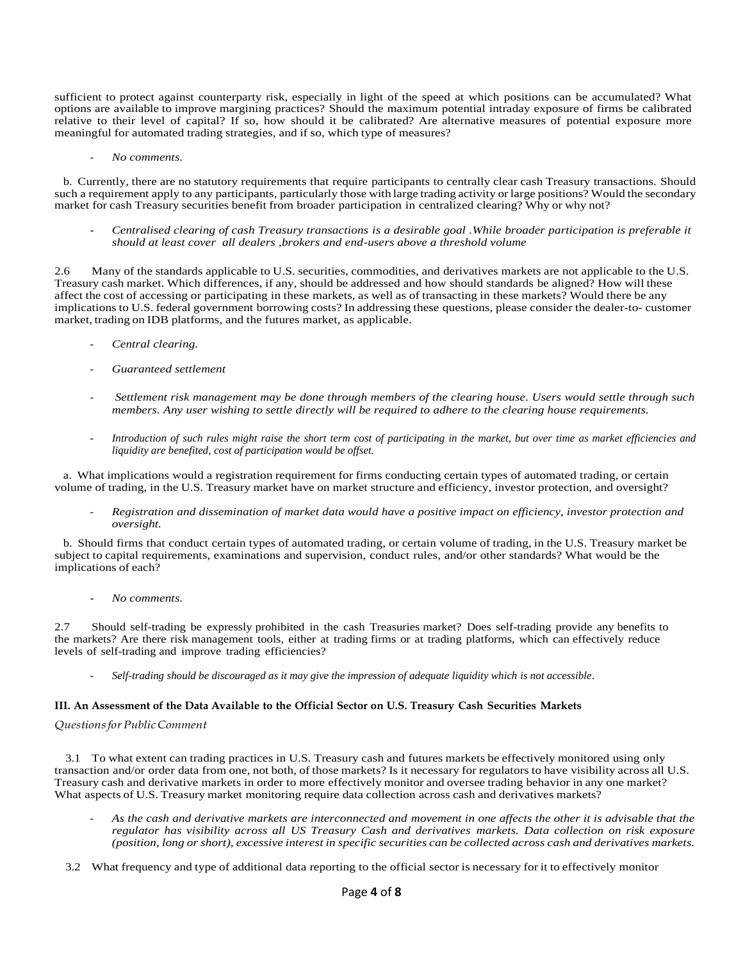sufficient to protect against counterparty risk, especially in light of the speed at which positions can be accumulated? What options are available to improve margining practices? Should the maximum potential intraday exposure of firms be calibrated relative to their level of capital? If so, how should it be calibrated? Are alternative measures of potential exposure more meaningful for automated trading strategies, and if so, which type of measures?

- *No comments.*

b. Currently, there are no statutory requirements that require participants to centrally clear cash Treasury transactions. Should such a requirement apply to any participants, particularly those with large trading activity or large positions? Would the secondary market for cash Treasury securities benefit from broader participation in centralized clearing? Why or why not?

- *Centralised clearing of cash Treasury transactions is a desirable goal .While broader participation is preferable it should at least cover all dealers ,brokers and end-users above a threshold volume*

2.6 Many of the standards applicable to U.S. securities, commodities, and derivatives markets are not applicable to the U.S. Treasury cash market. Which differences, if any, should be addressed and how should standards be aligned? How will these affect the cost of accessing or participating in these markets, as well as of transacting in these markets? Would there be any implications to U.S. federal government borrowing costs? In addressing these questions, please consider the dealer-to- customer market, trading on IDB platforms, and the futures market, as applicable.

- *Central clearing.*
- *Guaranteed settlement*
- *Settlement risk management may be done through members of the clearing house. Users would settle through such members. Any user wishing to settle directly will be required to adhere to the clearing house requirements.*
- *Introduction of such rules might raise the short term cost of participating in the market, but over time as market efficiencies and liquidity are benefited, cost of participation would be offset.*

a. What implications would a registration requirement for firms conducting certain types of automated trading, or certain volume of trading, in the U.S. Treasury market have on market structure and efficiency, investor protection, and oversight?

- *Registration and dissemination of market data would have a positive impact on efficiency, investor protection and oversight.* 

b. Should firms that conduct certain types of automated trading, or certain volume of trading, in the U.S. Treasury market be subject to capital requirements, examinations and supervision, conduct rules, and/or other standards? What would be the implications of each?

- *No comments.*

2.7 Should self-trading be expressly prohibited in the cash Treasuries market? Does self-trading provide any benefits to the markets? Are there risk management tools, either at trading firms or at trading platforms, which can effectively reduce levels of self-trading and improve trading efficiencies?

- *Self-trading should be discouraged as it may give the impression of adequate liquidity which is not accessible*.

# **III. An Assessment of the Data Available to the Official Sector on U.S. Treasury Cash Securities Markets**

# *QuestionsforPublicComment*

3.1 To what extent can trading practices in U.S. Treasury cash and futures markets be effectively monitored using only transaction and/or order data from one, not both, of those markets? Is it necessary for regulators to have visibility across all U.S. Treasury cash and derivative markets in order to more effectively monitor and oversee trading behavior in any one market? What aspects of U.S. Treasury market monitoring require data collection across cash and derivatives markets?

- *As the cash and derivative markets are interconnected and movement in one affects the other it is advisable that the regulator has visibility across all US Treasury Cash and derivatives markets. Data collection on risk exposure (position, long or short), excessive interest in specific securities can be collected across cash and derivatives markets.*
- 3.2 What frequency and type of additional data reporting to the official sector is necessary for it to effectively monitor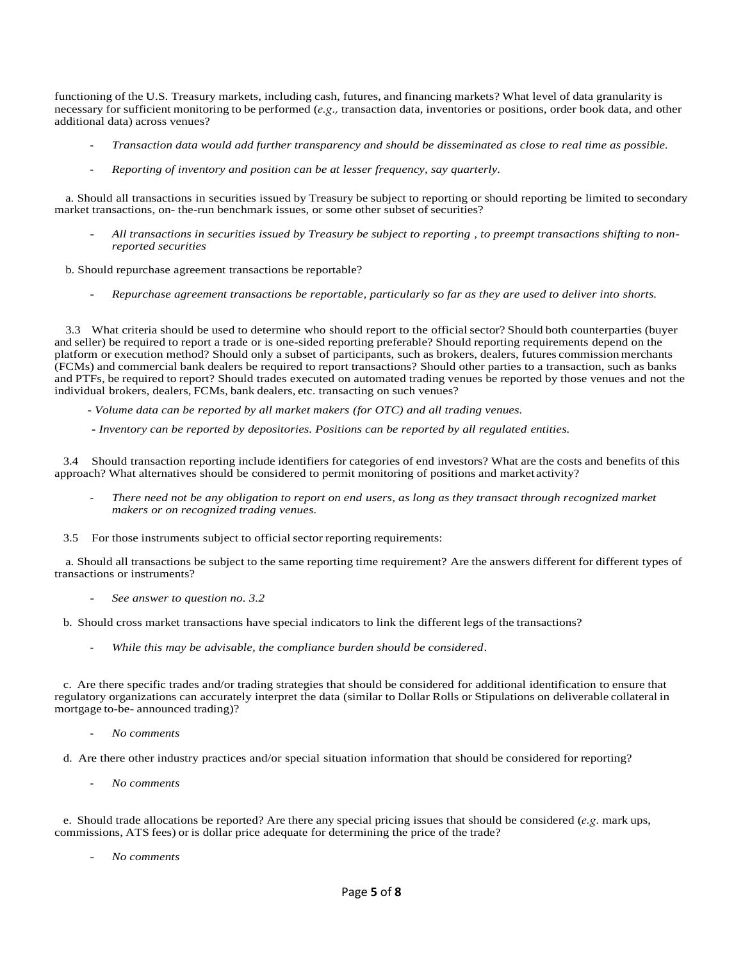functioning of the U.S. Treasury markets, including cash, futures, and financing markets? What level of data granularity is necessary for sufficient monitoring to be performed (*e.g.,* transaction data, inventories or positions, order book data, and other additional data) across venues?

- *Transaction data would add further transparency and should be disseminated as close to real time as possible.*
- *Reporting of inventory and position can be at lesser frequency, say quarterly.*

a. Should all transactions in securities issued by Treasury be subject to reporting or should reporting be limited to secondary market transactions, on- the-run benchmark issues, or some other subset of securities?

- *All transactions in securities issued by Treasury be subject to reporting , to preempt transactions shifting to nonreported securities* 

b. Should repurchase agreement transactions be reportable?

- *Repurchase agreement transactions be reportable, particularly so far as they are used to deliver into shorts.*

3.3 What criteria should be used to determine who should report to the official sector? Should both counterparties (buyer and seller) be required to report a trade or is one-sided reporting preferable? Should reporting requirements depend on the platform or execution method? Should only a subset of participants, such as brokers, dealers, futures commissionmerchants (FCMs) and commercial bank dealers be required to report transactions? Should other parties to a transaction, such as banks and PTFs, be required to report? Should trades executed on automated trading venues be reported by those venues and not the individual brokers, dealers, FCMs, bank dealers, etc. transacting on such venues?

- *Volume data can be reported by all market makers (for OTC) and all trading venues.* 

**-** *Inventory can be reported by depositories. Positions can be reported by all regulated entities.*

3.4 Should transaction reporting include identifiers for categories of end investors? What are the costs and benefits of this approach? What alternatives should be considered to permit monitoring of positions and market activity?

- *There need not be any obligation to report on end users, as long as they transact through recognized market makers or on recognized trading venues.*
- 3.5 For those instruments subject to official sector reporting requirements:

a. Should all transactions be subject to the same reporting time requirement? Are the answers different for different types of transactions or instruments?

- *See answer to question no. 3.2*

b. Should cross market transactions have special indicators to link the different legs of the transactions?

- *While this may be advisable, the compliance burden should be considered*.

c. Are there specific trades and/or trading strategies that should be considered for additional identification to ensure that regulatory organizations can accurately interpret the data (similar to Dollar Rolls or Stipulations on deliverable collateral in mortgage to-be- announced trading)?

- *No comments* 

- d. Are there other industry practices and/or special situation information that should be considered for reporting?
	- *No comments*

e. Should trade allocations be reported? Are there any special pricing issues that should be considered (*e.g.* mark ups, commissions, ATS fees) or is dollar price adequate for determining the price of the trade?

- *No comments*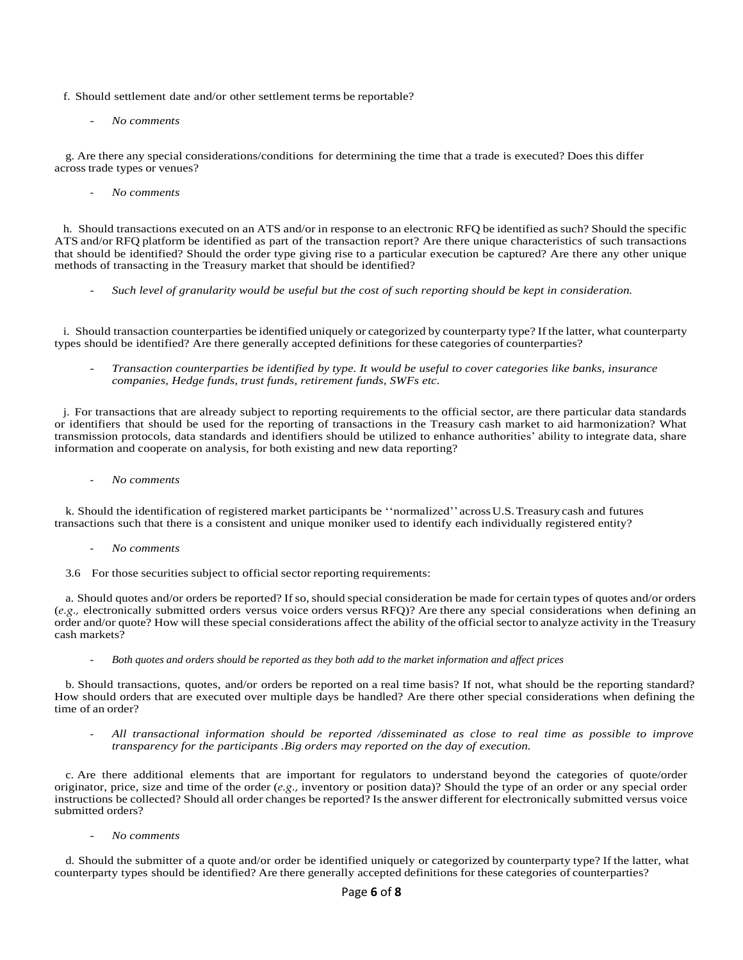f. Should settlement date and/or other settlement terms be reportable?

- *No comments* 

g. Are there any special considerations/conditions for determining the time that a trade is executed? Does this differ across trade types or venues?

- *No comments* 

h. Should transactions executed on an ATS and/or in response to an electronic RFQ be identified as such? Should the specific ATS and/or RFQ platform be identified as part of the transaction report? Are there unique characteristics of such transactions that should be identified? Should the order type giving rise to a particular execution be captured? Are there any other unique methods of transacting in the Treasury market that should be identified?

- *Such level of granularity would be useful but the cost of such reporting should be kept in consideration.*

i. Should transaction counterparties be identified uniquely or categorized by counterparty type? If the latter, what counterparty types should be identified? Are there generally accepted definitions for these categories of counterparties?

- *Transaction counterparties be identified by type. It would be useful to cover categories like banks, insurance companies, Hedge funds, trust funds, retirement funds, SWFs etc.*

j. For transactions that are already subject to reporting requirements to the official sector, are there particular data standards or identifiers that should be used for the reporting of transactions in the Treasury cash market to aid harmonization? What transmission protocols, data standards and identifiers should be utilized to enhance authorities' ability to integrate data, share information and cooperate on analysis, for both existing and new data reporting?

- *No comments* 

k. Should the identification of registered market participants be ''normalized'' acrossU.S.Treasurycash and futures transactions such that there is a consistent and unique moniker used to identify each individually registered entity?

- *No comments*
- 3.6 For those securities subject to official sector reporting requirements:

a. Should quotes and/or orders be reported? If so, should special consideration be made for certain types of quotes and/or orders (*e.g.,* electronically submitted orders versus voice orders versus RFQ)? Are there any special considerations when defining an order and/or quote? How will these special considerations affect the ability of the official sector to analyze activity in the Treasury cash markets?

- *Both quotes and orders should be reported as they both add to the market information and affect prices* 

b. Should transactions, quotes, and/or orders be reported on a real time basis? If not, what should be the reporting standard? How should orders that are executed over multiple days be handled? Are there other special considerations when defining the time of an order?

- *All transactional information should be reported /disseminated as close to real time as possible to improve transparency for the participants .Big orders may reported on the day of execution.*

c. Are there additional elements that are important for regulators to understand beyond the categories of quote/order originator, price, size and time of the order (*e.g.,* inventory or position data)? Should the type of an order or any special order instructions be collected? Should all order changes be reported? Isthe answer different for electronically submitted versus voice submitted orders?

- *No comments* 

d. Should the submitter of a quote and/or order be identified uniquely or categorized by counterparty type? If the latter, what counterparty types should be identified? Are there generally accepted definitions for these categories of counterparties?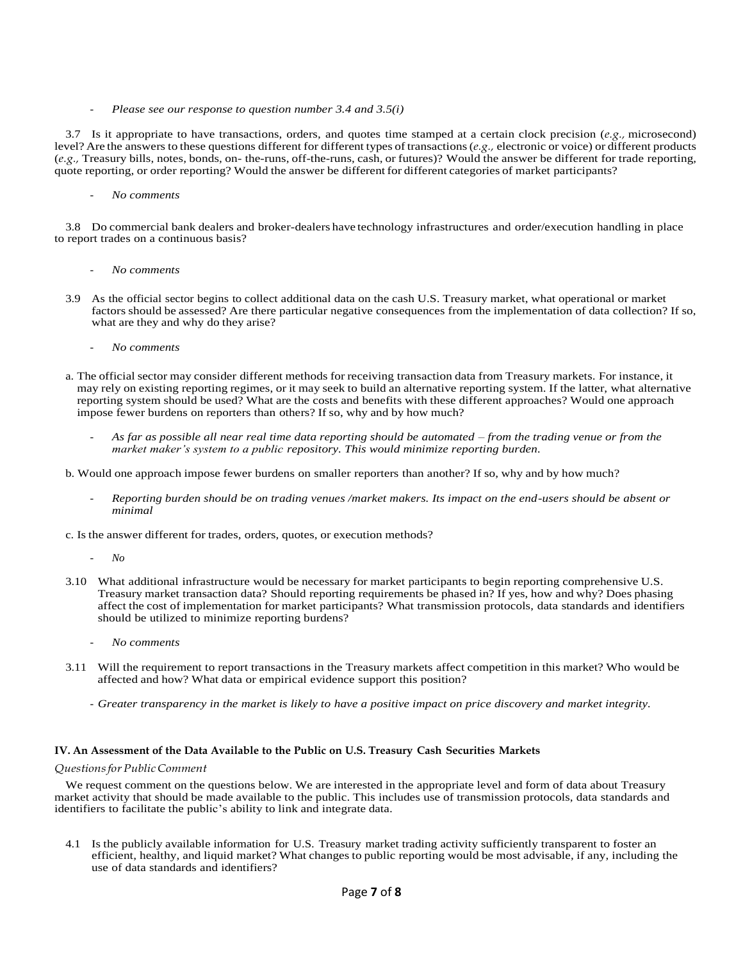- *Please see our response to question number 3.4 and 3.5(i)* 

3.7 Is it appropriate to have transactions, orders, and quotes time stamped at a certain clock precision (*e.g.,* microsecond) level? Are the answers to these questions different for different types oftransactions(*e.g.,* electronic or voice) or different products (*e.g.,* Treasury bills, notes, bonds, on- the-runs, off-the-runs, cash, or futures)? Would the answer be different for trade reporting, quote reporting, or order reporting? Would the answer be different for different categories of market participants?

- *No comments* 

3.8 Do commercial bank dealers and broker-dealers have technology infrastructures and order/execution handling in place to report trades on a continuous basis?

- *No comments*
- 3.9 As the official sector begins to collect additional data on the cash U.S. Treasury market, what operational or market factors should be assessed? Are there particular negative consequences from the implementation of data collection? If so, what are they and why do they arise?
	- *No comments*
- a. The official sector may consider different methods for receiving transaction data from Treasury markets. For instance, it may rely on existing reporting regimes, or it may seek to build an alternative reporting system. If the latter, what alternative reporting system should be used? What are the costs and benefits with these different approaches? Would one approach impose fewer burdens on reporters than others? If so, why and by how much?
	- *As far as possible all near real time data reporting should be automated – from the trading venue or from the market maker's system to a public repository. This would minimize reporting burden.*
- b. Would one approach impose fewer burdens on smaller reporters than another? If so, why and by how much?
	- *Reporting burden should be on trading venues /market makers. Its impact on the end-users should be absent or minimal*
- c. Is the answer different for trades, orders, quotes, or execution methods?
	- *No*
- 3.10 What additional infrastructure would be necessary for market participants to begin reporting comprehensive U.S. Treasury market transaction data? Should reporting requirements be phased in? If yes, how and why? Does phasing affect the cost of implementation for market participants? What transmission protocols, data standards and identifiers should be utilized to minimize reporting burdens?
	- *No comments*
- 3.11 Will the requirement to report transactions in the Treasury markets affect competition in this market? Who would be affected and how? What data or empirical evidence support this position?
	- *Greater transparency in the market is likely to have a positive impact on price discovery and market integrity.*

#### **IV. An Assessment of the Data Available to the Public on U.S. Treasury Cash Securities Markets**

### *QuestionsforPublicComment*

We request comment on the questions below. We are interested in the appropriate level and form of data about Treasury market activity that should be made available to the public. This includes use of transmission protocols, data standards and identifiers to facilitate the public's ability to link and integrate data.

4.1 Is the publicly available information for U.S. Treasury market trading activity sufficiently transparent to foster an efficient, healthy, and liquid market? What changes to public reporting would be most advisable, if any, including the use of data standards and identifiers?